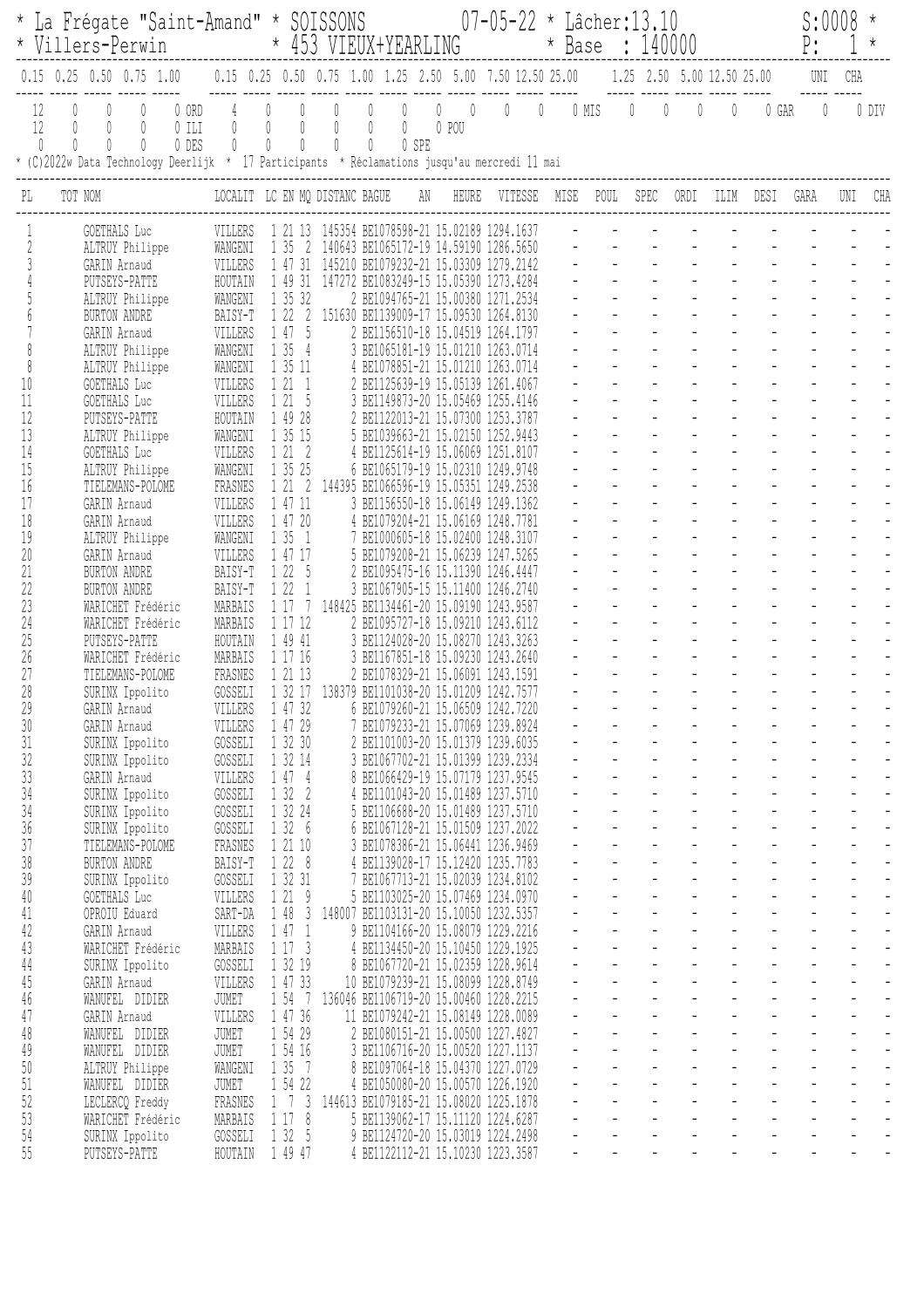|                                           |                                    |                                    | * La Frégate "Saint-Amand" * SOISSONS<br>* Villers-Perwin                                                                           |                           |                                |                                                |                                       | * 453 VIEUX+YEARLING                             |             |        |            |                                                                                  | $07 - 05 - 22$ * Lâcher: 13.10 |                |      | * Base : 140000                               |                                            |                                                                    |                  |                                             |                                                                                                                                                                                                                                                 | S:0008<br>P:                               |                                       | $\star$                          |
|-------------------------------------------|------------------------------------|------------------------------------|-------------------------------------------------------------------------------------------------------------------------------------|---------------------------|--------------------------------|------------------------------------------------|---------------------------------------|--------------------------------------------------|-------------|--------|------------|----------------------------------------------------------------------------------|--------------------------------|----------------|------|-----------------------------------------------|--------------------------------------------|--------------------------------------------------------------------|------------------|---------------------------------------------|-------------------------------------------------------------------------------------------------------------------------------------------------------------------------------------------------------------------------------------------------|--------------------------------------------|---------------------------------------|----------------------------------|
|                                           |                                    |                                    | $0.15$ 0.25 0.50 0.75 1.00                                                                                                          |                           |                                |                                                |                                       |                                                  |             |        |            | 0.15 0.25 0.50 0.75 1.00 1.25 2.50 5.00 7.50 12.50 25.00                         |                                |                |      |                                               |                                            |                                                                    |                  | 1.25 2.50 5.00 12.50 25.00                  |                                                                                                                                                                                                                                                 | UNI                                        | CHA                                   |                                  |
| 12<br>12<br>$\begin{matrix} \end{matrix}$ | $\begin{matrix} \end{matrix}$<br>0 | $\begin{matrix} \end{matrix}$<br>0 | $\begin{matrix} \end{matrix}$<br>0<br>* (C)2022w Data Technology Deerlijk * 17 Participants * Réclamations jusqu'au mercredi 11 mai | 0 ORD<br>$0$ ILI<br>0 DES | 0<br>$\overline{0}$            | $\overline{0}$<br>$\mathbb{O}$<br>$\mathbb{O}$ | $\overline{0}$<br>$\overline{0}$<br>0 | $\bigcirc$<br>0<br>$\begin{matrix} \end{matrix}$ | 0<br>0<br>0 | 0<br>0 | 0<br>0 SPE | $\begin{array}{ccc} & & 0 \end{array}$<br>0 POU                                  | $\mathbb{0}^-$                 | $\overline{0}$ |      | $0$ MIS $0$                                   |                                            | $\mathbb{O}$                                                       |                  | $\emptyset$                                 | 0 GAR                                                                                                                                                                                                                                           | $\mathbf{0}$                               |                                       | 0 DIV                            |
| PL                                        |                                    | TOT NOM                            |                                                                                                                                     |                           | LOCALIT LC EN MQ DISTANC BAGUE |                                                |                                       |                                                  |             |        | AN         | HEURE                                                                            | VITESSE                        |                | MISE | POUL                                          |                                            | SPEC                                                               | ORDI             | ILIM                                        | DESI                                                                                                                                                                                                                                            | GARA                                       | UNI                                   | CHA                              |
|                                           |                                    |                                    | GOETHALS Luc                                                                                                                        |                           | VILLERS                        |                                                | 1 21 13                               |                                                  |             |        |            | 145354 BE1078598-21 15.02189 1294.1637                                           |                                |                |      |                                               |                                            |                                                                    |                  |                                             |                                                                                                                                                                                                                                                 |                                            |                                       |                                  |
| 2                                         |                                    |                                    | ALTRUY Philippe<br>GARIN Arnaud                                                                                                     |                           | WANGENI<br>VILLERS             |                                                | 1 35<br>1 47 31                       | -2                                               |             |        |            | 140643 BE1065172-19 14.59190 1286.5650<br>145210 BE1079232-21 15.03309 1279.2142 |                                |                |      |                                               |                                            |                                                                    |                  |                                             |                                                                                                                                                                                                                                                 |                                            |                                       |                                  |
|                                           |                                    |                                    | PUTSEYS-PATTE                                                                                                                       |                           | HOUTAIN                        |                                                | 1 49 31                               |                                                  |             |        |            | 147272 BE1083249-15 15.05390 1273.4284                                           |                                |                |      |                                               |                                            |                                                                    |                  |                                             |                                                                                                                                                                                                                                                 |                                            |                                       |                                  |
|                                           |                                    |                                    | ALTRUY Philippe                                                                                                                     |                           | WANGENI                        |                                                | 1 35 32                               |                                                  |             |        |            | 2 BE1094765-21 15.00380 1271.2534                                                |                                |                |      |                                               |                                            |                                                                    |                  |                                             |                                                                                                                                                                                                                                                 |                                            |                                       |                                  |
|                                           |                                    |                                    | BURTON ANDRE                                                                                                                        |                           | BAISY-T                        |                                                | 1222                                  |                                                  |             |        |            | 151630 BE1139009-17 15.09530 1264.8130                                           |                                |                |      |                                               |                                            |                                                                    |                  |                                             |                                                                                                                                                                                                                                                 |                                            |                                       |                                  |
|                                           |                                    |                                    | GARIN Arnaud<br>ALTRUY Philippe                                                                                                     |                           | VILLERS<br>WANGENI             |                                                | 1 47 5<br>$\frac{1}{2}$<br>135        |                                                  |             |        |            | 2 BE1156510-18 15.04519 1264.1797<br>3 BE1065181-19 15.01210 1263.0714           |                                |                |      |                                               |                                            |                                                                    |                  |                                             |                                                                                                                                                                                                                                                 |                                            |                                       |                                  |
| 8                                         |                                    |                                    | ALTRUY Philippe                                                                                                                     |                           | WANGENI                        |                                                | 1 35 11                               |                                                  |             |        |            | 4 BE1078851-21 15.01210                                                          | 1263.0714                      |                |      |                                               |                                            |                                                                    |                  |                                             |                                                                                                                                                                                                                                                 |                                            |                                       |                                  |
| 10                                        |                                    |                                    | <b>GOETHALS</b> Luc                                                                                                                 |                           | VILLERS                        |                                                | 1 21<br>$\overline{1}$                |                                                  |             |        |            | 2 BE1125639-19 15.05139 1261.4067                                                |                                |                |      |                                               |                                            |                                                                    |                  |                                             |                                                                                                                                                                                                                                                 |                                            |                                       |                                  |
| 11                                        |                                    |                                    | GOETHALS Luc                                                                                                                        |                           | VILLERS                        |                                                | 121                                   | -5                                               |             |        |            | 3 BE1149873-20 15.05469 1255.4146                                                |                                |                |      |                                               |                                            |                                                                    |                  |                                             |                                                                                                                                                                                                                                                 |                                            |                                       |                                  |
| 12<br>13                                  |                                    |                                    | PUTSEYS-PATTE<br>ALTRUY Philippe                                                                                                    |                           | HOUTAIN<br>WANGENI             |                                                | 1 49 28<br>1 35 15                    |                                                  |             |        |            | 2 BE1122013-21 15.07300 1253.3787<br>5 BE1039663-21 15.02150 1252.9443           |                                |                |      |                                               |                                            |                                                                    |                  |                                             |                                                                                                                                                                                                                                                 |                                            |                                       |                                  |
| 14                                        |                                    |                                    | <b>GOETHALS</b> Luc                                                                                                                 |                           | VILLERS                        |                                                | 1 21<br>- 2                           |                                                  |             |        |            | 4 BE1125614-19 15.06069 1251.8107                                                |                                |                |      |                                               |                                            |                                                                    |                  |                                             |                                                                                                                                                                                                                                                 |                                            |                                       |                                  |
| 15                                        |                                    |                                    | ALTRUY Philippe                                                                                                                     |                           | WANGENI                        |                                                | 1 35 25                               |                                                  |             |        |            | 6 BE1065179-19 15.02310 1249.9748                                                |                                |                |      |                                               |                                            |                                                                    |                  |                                             |                                                                                                                                                                                                                                                 |                                            |                                       |                                  |
| 16<br>17                                  |                                    |                                    | TIELEMANS-POLOME                                                                                                                    |                           | FRASNES                        |                                                | 1 21<br>1 47 11                       | -2                                               |             |        |            | 144395 BE1066596-19 15.05351 1249.2538<br>3 BE1156550-18 15.06149 1249.1362      |                                |                |      |                                               |                                            |                                                                    |                  |                                             |                                                                                                                                                                                                                                                 |                                            |                                       |                                  |
| 18                                        |                                    |                                    | GARIN Arnaud<br>GARIN Arnaud                                                                                                        |                           | VILLERS<br>VILLERS             |                                                | 1 47 20                               |                                                  |             |        |            | 4 BE1079204-21 15.06169 1248.7781                                                |                                |                |      |                                               |                                            |                                                                    |                  |                                             |                                                                                                                                                                                                                                                 |                                            |                                       |                                  |
| 19                                        |                                    |                                    | ALTRUY Philippe                                                                                                                     |                           | WANGENI                        |                                                | 1 35 1                                |                                                  |             |        |            | 7 BE1000605-18 15.02400 1248.3107                                                |                                |                |      |                                               |                                            |                                                                    |                  |                                             |                                                                                                                                                                                                                                                 |                                            |                                       |                                  |
| 20                                        |                                    |                                    | GARIN Arnaud                                                                                                                        |                           | VILLERS                        |                                                | 1 47 17                               |                                                  |             |        |            | 5 BE1079208-21 15.06239 1247.5265                                                |                                |                |      |                                               |                                            |                                                                    |                  |                                             |                                                                                                                                                                                                                                                 |                                            |                                       |                                  |
| 21<br>22                                  |                                    |                                    | BURTON ANDRE<br>BURTON ANDRE                                                                                                        |                           | BAISY-T<br>BAISY-T             |                                                | 1 22 5<br>122                         | -1                                               |             |        |            | BE1095475-16 15.11390<br>BE1067905-15 15.11400 1246.2740                         | 1246.4447                      |                |      |                                               |                                            |                                                                    |                  |                                             |                                                                                                                                                                                                                                                 |                                            |                                       |                                  |
| 23                                        |                                    |                                    | WARICHET Frédéric                                                                                                                   |                           | MARBAIS                        |                                                | 1 17                                  | 7                                                |             |        |            | 148425 BE1134461-20 15.09190 1243.9587                                           |                                |                |      |                                               |                                            |                                                                    |                  |                                             |                                                                                                                                                                                                                                                 |                                            |                                       |                                  |
| 24                                        |                                    |                                    | WARTCHET Frédéric                                                                                                                   |                           | MARBAIS                        |                                                | 1 17 12                               |                                                  |             |        |            | 2 BE1095727-18 15.09210 1243.6112                                                |                                |                |      |                                               |                                            |                                                                    |                  |                                             |                                                                                                                                                                                                                                                 |                                            |                                       |                                  |
| 25                                        |                                    |                                    | PUTSEYS-PATTE                                                                                                                       |                           | HOUTAIN                        |                                                | 1 49 41                               |                                                  |             |        |            | 3 BE1124028-20 15.08270 1243.3263                                                |                                |                |      |                                               |                                            |                                                                    |                  |                                             |                                                                                                                                                                                                                                                 |                                            |                                       |                                  |
| 26<br>27                                  |                                    |                                    | WARICHET Frédéric<br>TIELEMANS-POLOME                                                                                               |                           | MARBAIS<br>FRASNES             |                                                | 1 17 16<br>1 21 13                    |                                                  |             |        |            | 3 BE1167851-18 15.09230 1243.2640<br>2 BE1078329-21 15.06091 1243.1591           |                                |                |      |                                               |                                            |                                                                    |                  |                                             |                                                                                                                                                                                                                                                 |                                            |                                       |                                  |
| 28                                        |                                    |                                    | SURINX Ippolito                                                                                                                     |                           | GOSSELI                        |                                                | 1 32 17                               |                                                  |             |        |            | 138379 BE1101038-20 15.01209 1242.7577                                           |                                |                |      |                                               |                                            |                                                                    |                  |                                             |                                                                                                                                                                                                                                                 |                                            |                                       |                                  |
| 29                                        |                                    |                                    | GARIN Arnaud                                                                                                                        |                           | VILLERS                        |                                                | 1 47 32                               |                                                  |             |        |            | 6 BE1079260-21 15.06509 1242.7220                                                |                                |                |      |                                               |                                            |                                                                    |                  |                                             |                                                                                                                                                                                                                                                 |                                            |                                       |                                  |
| $30\,$                                    |                                    |                                    | GARIN Arnaud                                                                                                                        |                           | VILLERS                        |                                                | 1 47 29                               |                                                  |             |        |            | 7 BE1079233-21 15.07069 1239.8924                                                |                                |                |      | $\frac{1}{2}$                                 |                                            | $\frac{1}{2}$ , $\frac{1}{2}$ , $\frac{1}{2}$                      |                  |                                             |                                                                                                                                                                                                                                                 |                                            |                                       |                                  |
| 31<br>32                                  |                                    |                                    | SURINX Ippolito<br>SURINX Ippolito                                                                                                  |                           | GOSSELI<br>GOSSELI             |                                                | 1 32 30<br>1 32 14                    |                                                  |             |        |            | 2 BE1101003-20 15.01379 1239.6035<br>3 BE1067702-21 15.01399 1239.2334           |                                |                |      | $\mathbb{Z}^{\mathbb{Z}^2}$                   |                                            | $\omega_{\rm{eff}}=2.0$ km s $^{-1}$                               |                  |                                             |                                                                                                                                                                                                                                                 |                                            |                                       |                                  |
| 33                                        |                                    |                                    | GARIN Arnaud                                                                                                                        |                           | VILLERS                        |                                                | 1474                                  |                                                  |             |        |            | 8 BE1066429-19 15.07179 1237.9545                                                |                                |                |      | $\mathbb{Z}^{\mathbb{Z}^2}$                   |                                            | $\omega_{\rm{eff}}=2.0\pm0.01$                                     |                  |                                             |                                                                                                                                                                                                                                                 | $\mathbb{Z}^{\mathbb{Z}}$                  |                                       |                                  |
| 34                                        |                                    |                                    | SURINX Ippolito                                                                                                                     |                           | GOSSELI                        |                                                | 1322                                  |                                                  |             |        |            | 4 BE1101043-20 15.01489 1237.5710                                                |                                |                |      |                                               |                                            | $\omega_{\rm{max}}$                                                |                  |                                             | $\omega_{\rm{eff}}=2.00$ and $\omega_{\rm{eff}}=0.00$                                                                                                                                                                                           |                                            | $\omega$                              |                                  |
| 34                                        |                                    |                                    | SURINX Ippolito                                                                                                                     |                           | GOSSELI                        |                                                | 1 32 24                               |                                                  |             |        |            | 5 BE1106688-20 15.01489 1237.5710                                                |                                |                |      |                                               | $\omega_{\rm{max}}$<br>$\omega_{\rm{max}}$ | $\omega_{\rm{max}}$<br>$\omega_{\rm{max}}$                         |                  |                                             | $\omega_{\rm{eff}}=2.00$ km s $^{-1}$ .<br>$\omega_{\rm{eff}}=2.00\pm0.00$                                                                                                                                                                      | $\omega_{\rm{max}}$<br>$\omega_{\rm{max}}$ | $\omega$<br>$\omega_{\rm c}$          | $\overline{a}$                   |
| $36$<br>37                                |                                    |                                    | SURINX Ippolito<br>TIELEMANS-POLOME                                                                                                 |                           | GOSSELI<br>FRASNES             |                                                | 1326<br>1 21 10                       |                                                  |             |        |            | 6 BE1067128-21 15.01509 1237.2022<br>3 BE1078386-21 15.06441 1236.9469           |                                |                |      |                                               |                                            | $\omega_{\rm{max}}$                                                |                  | $\omega_{\rm{eff}}$ and $\omega_{\rm{eff}}$ | $\omega_{\rm{max}}$                                                                                                                                                                                                                             |                                            | $\omega_{\rm c}$                      | $\overline{\phantom{a}}$         |
| $38\,$                                    |                                    |                                    | BURTON ANDRE                                                                                                                        |                           | BAISY-T                        |                                                | 1228                                  |                                                  |             |        |            | 4 BE1139028-17 15.12420 1235.7783                                                |                                |                |      |                                               |                                            | $\omega_{\rm{eff}}=0.25$ and $\omega_{\rm{eff}}$                   |                  |                                             | $\begin{bmatrix} 1 & 1 & 1 \\ 1 & 1 & 1 \end{bmatrix},$                                                                                                                                                                                         | $\omega_{\rm c}$                           | $\omega_{\rm c}$                      |                                  |
| 39                                        |                                    |                                    | SURINX Ippolito                                                                                                                     |                           | GOSSELI                        |                                                | 1 32 31                               |                                                  |             |        |            | 7 BE1067713-21 15.02039 1234.8102                                                |                                |                |      | $\omega_{\rm{max}}$                           |                                            | $\omega_{\rm{max}}$ and $\omega_{\rm{max}}$                        |                  |                                             |                                                                                                                                                                                                                                                 | $\omega_{\rm{max}}$                        | $\mathbb{Z}^2$                        |                                  |
| $40\,$                                    |                                    |                                    | <b>GOETHALS</b> Luc                                                                                                                 |                           | VILLERS                        |                                                | 1219                                  |                                                  |             |        |            | 5 BE1103025-20 15.07469 1234.0970<br>148007 BE1103131-20 15.10050 1232.5357      |                                |                |      |                                               | $\omega_{\rm{max}}$<br>$\omega_{\rm{max}}$ | $\omega_{\rm{max}}$<br>$\omega_{\rm{max}}$                         |                  |                                             | $\omega_{\rm{eff}}=2.00$ and $\omega_{\rm{eff}}=0.00$<br>$\omega_{\rm{eff}}=2.00$ km s $^{-1}$ and $\omega_{\rm{eff}}=0.00$                                                                                                                     | $\omega_{\rm{max}}$<br>$\omega_{\rm{max}}$ | $\mathbb{Z}^{\mathbb{Z}}$<br>$\omega$ | $\overline{a}$<br>$\overline{a}$ |
| 41<br>42                                  |                                    |                                    | OPROIU Eduard<br>GARIN Arnaud                                                                                                       |                           | SART-DA<br>VILLERS             |                                                | 1483<br>1 47 1                        |                                                  |             |        |            | 9 BE1104166-20 15.08079 1229.2216                                                |                                |                |      | $\mathbb{Z}^{\mathbb{Z}}$                     | $\omega_{\rm{max}}$                        | $\omega_{\rm{max}}$                                                |                  |                                             | $\omega_{\rm{eff}}=2.00\pm0.00$                                                                                                                                                                                                                 | $\omega_{\rm{max}}$                        | $\omega_{\rm c}$                      | $\overline{\phantom{a}}$         |
| 43                                        |                                    |                                    | WARICHET Frédéric                                                                                                                   |                           | MARBAIS                        |                                                | 1173                                  |                                                  |             |        |            | 4 BE1134450-20 15.10450 1229.1925                                                |                                |                |      |                                               |                                            | $\omega_{\rm{max}}$                                                |                  | $\omega_{\rm{max}}$                         | $\frac{1}{2}$ $\frac{1}{2}$ $\frac{1}{2}$ $\frac{1}{2}$                                                                                                                                                                                         |                                            |                                       |                                  |
| $44\,$                                    |                                    |                                    | SURINX Ippolito                                                                                                                     |                           | GOSSELI                        |                                                | 1 32 19                               |                                                  |             |        |            | 8 BE1067720-21 15.02359 1228.9614                                                |                                |                |      |                                               |                                            | $\omega_{\rm{max}}$                                                |                  |                                             |                                                                                                                                                                                                                                                 |                                            |                                       |                                  |
| $45\,$                                    |                                    |                                    | GARIN Arnaud                                                                                                                        |                           | VILLERS                        |                                                | 1 47 33                               |                                                  |             |        |            | 10 BE1079239-21 15.08099 1228.8749                                               |                                |                |      |                                               |                                            | $\Delta \sim 10^4$<br>$\omega_{\rm{max}}$                          |                  | $\omega_{\rm{eff}}=2.0\pm0.01$              | $\omega_{\rm{max}}$                                                                                                                                                                                                                             | $\mathbb{Z}^{\mathbb{Z}}$                  | $\mathbb{Z}^2$                        |                                  |
| $46\,$<br>47                              |                                    |                                    | WANUFEL DIDIER<br>GARIN Arnaud                                                                                                      |                           | JUMET<br>VILLERS               |                                                | 1 54 7<br>1 47 36                     |                                                  |             |        |            | 136046 BE1106719-20 15.00460 1228.2215<br>11 BE1079242-21 15.08149 1228.0089     |                                |                |      |                                               | $\Delta \sim 10^{11}$                      | $\Delta \sim 10^{11}$                                              |                  |                                             | $\omega_{\rm{eff}}=2.00$ km s $^{-1}$ .                                                                                                                                                                                                         | $\omega_{\rm{max}}$                        | $\omega$                              | $\overline{a}$                   |
| 48                                        |                                    |                                    | WANUFEL DIDIER                                                                                                                      |                           | JUMET                          |                                                | 1 54 29                               |                                                  |             |        |            | 2 BE1080151-21 15.00500 1227.4827                                                |                                |                |      |                                               | $\omega_{\rm{max}}$                        | $\omega_{\rm{max}}$                                                |                  |                                             | $\omega_{\rm{eff}}=2.00\pm0.00$                                                                                                                                                                                                                 | $\omega_{\rm{max}}$                        | $\equiv$                              | $\overline{\phantom{a}}$         |
| 49                                        |                                    |                                    | WANUFEL DIDIER                                                                                                                      |                           | JUMET                          |                                                | 1 54 16                               |                                                  |             |        |            | 3 BE1106716-20 15.00520 1227.1137                                                |                                |                |      |                                               |                                            | $\omega_{\rm{max}}$                                                |                  | $\omega_{\rm{max}}$                         | $\omega_{\rm{max}}$<br>$\omega_{\rm{max}}$                                                                                                                                                                                                      |                                            | $\omega_{\rm c}$                      |                                  |
| $50\,$                                    |                                    |                                    | ALTRUY Philippe                                                                                                                     |                           | WANGENI                        |                                                | 1 35 7                                |                                                  |             |        |            | 8 BE1097064-18 15.04370 1227.0729                                                |                                |                |      | $\omega_{\rm c}$<br>$\mathbb{Z}^{\mathbb{Z}}$ |                                            | $\omega_{\rm{max}}$<br>$\omega_{\rm{max}}$ and $\omega_{\rm{max}}$ |                  | $\omega_{\rm{eff}}=2.0$                     | $\Delta \sim 10^4$<br>$\mathcal{L}^{\mathcal{A}}(\mathcal{A}^{\mathcal{A}}_{\mathcal{A}}(\mathcal{A}^{\mathcal{A}}_{\mathcal{A}}))=\mathcal{L}^{\mathcal{A}}(\mathcal{A}^{\mathcal{A}}_{\mathcal{A}}(\mathcal{A}^{\mathcal{A}}_{\mathcal{A}}))$ | $\omega_{\rm c}$<br>$\mathbb{Z}^+$         | $\omega_{\rm c}$<br>$\mathbf{r}$      | $\overline{a}$                   |
| $51\,$<br>52                              |                                    |                                    | WANUFEL DIDIER<br>LECLERCQ Freddy                                                                                                   |                           | JUMET<br>FRASNES               |                                                | 1 54 22<br>$1 \t1 \t3$                |                                                  |             |        |            | 4 BE1050080-20 15.00570 1226.1920<br>144613 BE1079185-21 15.08020 1225.1878      |                                |                |      |                                               |                                            | $\Delta \sim 10^4$                                                 |                  | $\omega_{\rm{max}}$                         | $\Delta \sim 10^{11}$<br>$\omega_{\rm{max}}$                                                                                                                                                                                                    | $\mathbb{Z}^{\mathbb{Z}}$                  | $\mathbb{Z}^{\mathbb{Z}}$             | $\overline{a}$                   |
| 53                                        |                                    |                                    | WARICHET Frédéric                                                                                                                   |                           | MARBAIS                        |                                                | 117<br>8                              |                                                  |             |        |            | 5 BE1139062-17 15.11120 1224.6287                                                |                                |                |      | $\omega_{\rm{eff}}$                           | $\Delta \sim 10^{11}$                      | $\Delta \sim 10$                                                   |                  | $\omega_{\rm{max}}=0.0000$                  | $\omega_{\rm{eff}}$                                                                                                                                                                                                                             | $\omega$                                   | $\equiv$                              | $\overline{a}$                   |
| 54                                        |                                    |                                    | SURINX Ippolito                                                                                                                     |                           | GOSSELI                        |                                                | 1 32 5                                |                                                  |             |        |            | 9 BE1124720-20 15.03019 1224.2498                                                |                                |                |      | $\blacksquare$                                | $\sim$ .                                   | $\omega$                                                           | $\omega_{\rm c}$ |                                             | $\omega_{\rm{max}}$<br>$\blacksquare$                                                                                                                                                                                                           | $\equiv$                                   |                                       | $\overline{a}$                   |
| $\overline{55}$                           |                                    |                                    | PUTSEYS-PATTE                                                                                                                       |                           | HOUTAIN                        |                                                | 1 49 47                               |                                                  |             |        |            | 4 BE1122112-21 15.10230 1223.3587                                                |                                |                |      | $\blacksquare$                                |                                            |                                                                    | L.               |                                             | $\overline{a}$                                                                                                                                                                                                                                  |                                            |                                       |                                  |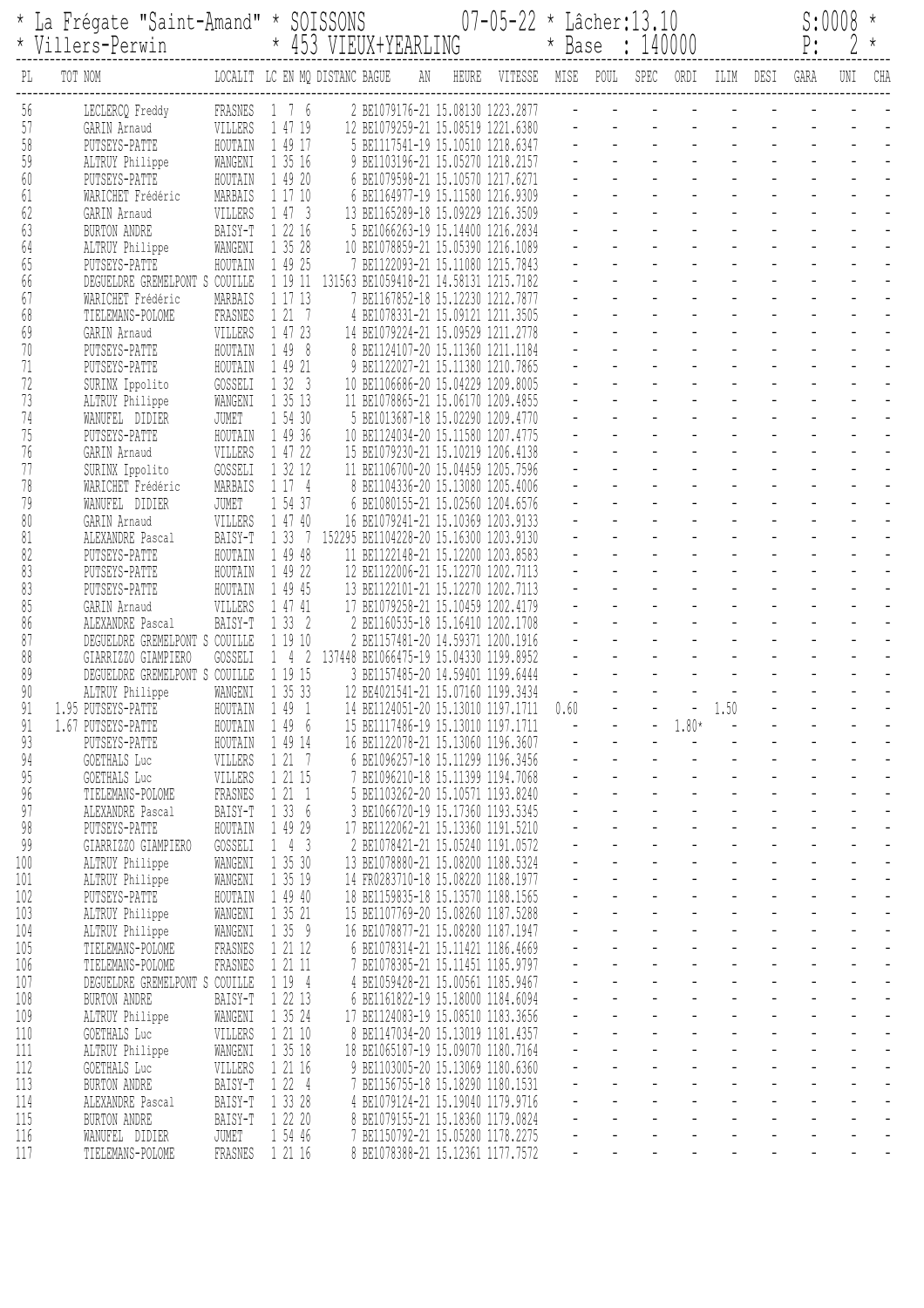|            | La Frégate "Saint-Amand" * SOISSONS<br>* Villers-Perwin |                    |                            |                                | * 453 VIEUX+YEARLING                                                        |       | $07 - 05 - 22$ * Lâcher: 13.10 | * Base : 140000 |                                    |                     |                                                                                                |                                              | P:                  | S:0008 | $^\star$<br>$\star$                                  |
|------------|---------------------------------------------------------|--------------------|----------------------------|--------------------------------|-----------------------------------------------------------------------------|-------|--------------------------------|-----------------|------------------------------------|---------------------|------------------------------------------------------------------------------------------------|----------------------------------------------|---------------------|--------|------------------------------------------------------|
| PL         | TOT NOM                                                 |                    |                            | LOCALIT LC EN MQ DISTANC BAGUE | AN                                                                          | HEURE | VITESSE                        | MISE POUL SPEC  |                                    | ORDI                | ILIM                                                                                           | DESI                                         | GARA                | UNI    | CHA                                                  |
| 56         | LECLERCQ Freddy                                         | FRASNES            | 1 7 6                      |                                | 2 BE1079176-21 15.08130 1223.2877                                           |       |                                |                 |                                    |                     |                                                                                                |                                              |                     |        |                                                      |
| 57<br>58   | GARIN Arnaud<br>PUTSEYS-PATTE                           | VILLERS<br>HOUTAIN | 1 47 19<br>1 49 17         |                                | 12 BE1079259-21 15.08519 1221.6380<br>5 BE1117541-19 15.10510 1218.6347     |       |                                |                 |                                    |                     |                                                                                                |                                              |                     |        |                                                      |
| 59         | ALTRUY Philippe                                         | WANGENI            | 1 35 16                    |                                | 9 BE1103196-21 15.05270 1218.2157                                           |       |                                |                 |                                    |                     |                                                                                                |                                              |                     |        |                                                      |
| 60         | PUTSEYS-PATTE                                           | HOUTAIN            | 1 49 20                    |                                | 6 BE1079598-21 15.10570 1217.6271                                           |       |                                |                 |                                    |                     |                                                                                                |                                              |                     |        |                                                      |
| 61         | WARICHET Frédéric                                       | MARBAIS            | 1 17 10                    |                                | 6 BE1164977-19 15.11580 1216.9309                                           |       |                                |                 |                                    |                     |                                                                                                |                                              |                     |        |                                                      |
| 62<br>63   | GARIN Arnaud                                            | VILLERS<br>BAISY-T | 1473<br>1 22 16            |                                | 13 BE1165289-18 15.09229 1216.3509<br>5 BE1066263-19 15.14400 1216.2834     |       |                                |                 |                                    |                     |                                                                                                |                                              |                     |        |                                                      |
| 64         | BURTON ANDRE<br>ALTRUY Philippe                         | WANGENI            | 1 35 28                    |                                | 10 BE1078859-21 15.05390 1216.1089                                          |       |                                |                 |                                    |                     |                                                                                                |                                              |                     |        |                                                      |
| 65         | PUTSEYS-PATTE                                           | HOUTAIN            | 1 49 25                    |                                | 7 BE1122093-21 15.11080 1215.7843                                           |       |                                |                 |                                    |                     |                                                                                                |                                              |                     |        |                                                      |
| 66         | DEGUELDRE GREMELPONT S COUILLE                          |                    | 1 19 11                    |                                | 131563 BE1059418-21 14.58131 1215.7182                                      |       |                                |                 |                                    |                     |                                                                                                |                                              |                     |        |                                                      |
| 67<br>68   | WARICHET Frédéric<br>TIELEMANS-POLOME                   | MARBAIS<br>FRASNES | 1 17 13<br>1217            |                                | 7 BE1167852-18 15.12230 1212.7877<br>4 BE1078331-21 15.09121 1211.3505      |       |                                |                 |                                    |                     |                                                                                                |                                              |                     |        |                                                      |
| 69         | GARIN Arnaud                                            | VILLERS            | 1 47 23                    |                                | 14 BE1079224-21 15.09529 1211.2778                                          |       |                                |                 |                                    |                     |                                                                                                |                                              |                     |        |                                                      |
| 70         | PUTSEYS-PATTE                                           | HOUTAIN            | 1 49 8                     |                                | 8 BE1124107-20 15.11360 1211.1184                                           |       |                                |                 |                                    |                     |                                                                                                |                                              |                     |        |                                                      |
| 71         | PUTSEYS-PATTE                                           | HOUTAIN            | 1 49 21                    |                                | 9 BE1122027-21 15.11380 1210.7865                                           |       |                                |                 |                                    |                     |                                                                                                |                                              |                     |        |                                                      |
| 72<br>73   | SURINX Ippolito<br>ALTRUY Philippe                      | GOSSELI<br>WANGENI | 1323<br>1 35 13            |                                | 10 BE1106686-20 15.04229 1209.8005<br>11 BE1078865-21 15.06170 1209.4855    |       |                                |                 |                                    |                     |                                                                                                |                                              |                     |        |                                                      |
| 74         | WANUFEL DIDIER                                          | JUMET              | 1 54 30                    |                                | 5 BE1013687-18 15.02290 1209.4770                                           |       |                                |                 |                                    |                     |                                                                                                |                                              |                     |        |                                                      |
| 75         | PUTSEYS-PATTE                                           | HOUTAIN            | 1 49 36                    |                                | 10 BE1124034-20 15.11580 1207.4775                                          |       |                                |                 |                                    |                     |                                                                                                |                                              |                     |        |                                                      |
| 76         | GARIN Arnaud                                            | VILLERS            | 1 47 22                    |                                | 15 BE1079230-21 15.10219 1206.4138                                          |       |                                |                 |                                    |                     |                                                                                                |                                              |                     |        |                                                      |
| 77<br>78   | SURINX Ippolito<br>WARICHET Frédéric                    | GOSSELI<br>MARBAIS | 1 32 12<br>1 17 4          |                                | 11 BE1106700-20 15.04459 1205.7596<br>8 BE1104336-20 15.13080 1205.4006     |       |                                |                 |                                    |                     |                                                                                                |                                              |                     |        |                                                      |
| 79         | WANUFEL DIDIER                                          | JUMET              | 1 54 37                    |                                | 6 BE1080155-21 15.02560 1204.6576                                           |       |                                |                 |                                    |                     |                                                                                                |                                              |                     |        |                                                      |
| 80         | GARIN Arnaud                                            | VILLERS            | 1 47 40                    |                                | 16 BE1079241-21 15.10369 1203.9133                                          |       |                                |                 |                                    |                     |                                                                                                |                                              |                     |        |                                                      |
| 81         | ALEXANDRE Pascal                                        | BAISY-T            | 1 3 3                      | 7                              | 152295 BE1104228-20 15.16300 1203.9130                                      |       |                                |                 |                                    |                     |                                                                                                |                                              |                     |        |                                                      |
| 82<br>83   | PUTSEYS-PATTE<br>PUTSEYS-PATTE                          | HOUTAIN<br>HOUTAIN | 1 49 48<br>1 49 22         |                                | 11 BE1122148-21 15.12200 1203.8583<br>12 BE1122006-21 15.12270 1202.7113    |       |                                |                 |                                    |                     |                                                                                                |                                              |                     |        |                                                      |
| 83         | PUTSEYS-PATTE                                           | HOUTAIN            | 1 49 45                    |                                | 13 BE1122101-21 15.12270 1202.7113                                          |       |                                |                 |                                    |                     |                                                                                                |                                              |                     |        |                                                      |
| 85         | GARIN Arnaud                                            | VILLERS            | 1 47 41                    |                                | 17 BE1079258-21 15.10459 1202.4179                                          |       |                                |                 |                                    |                     |                                                                                                |                                              |                     |        |                                                      |
| 86         | ALEXANDRE Pascal                                        | BAISY-T            | 1332                       |                                | 2 BE1160535-18 15.16410 1202.1708                                           |       |                                |                 |                                    |                     |                                                                                                |                                              |                     |        |                                                      |
| 87<br>88   | DEGUELDRE GREMELPONT S COUILLE<br>GIARRIZZO GIAMPIERO   | GOSSELI            | 1 19 10<br>142             |                                | 2 BE1157481-20 14.59371 1200.1916<br>137448 BE1066475-19 15.04330 1199.8952 |       |                                |                 |                                    |                     |                                                                                                |                                              |                     |        |                                                      |
| 89         | DEGUELDRE GREMELPONT S COUILLE                          |                    | 1 19 15                    |                                | 3 BE1157485-20 14.59401 1199.6444                                           |       |                                |                 |                                    |                     |                                                                                                |                                              |                     |        |                                                      |
| 90         | ALTRUY Philippe                                         | WANGENI            | 35 33                      |                                | 12 BE4021541-21 15.07160 1199.3434                                          |       |                                |                 |                                    |                     |                                                                                                |                                              |                     |        |                                                      |
| 91<br>91   | 1.95 PUTSEYS-PATTE<br>1.67 PUTSEYS-PATTE                | HOUTAIN<br>HOUTAIN | 1491<br>1 49 6             |                                | 14 BE1124051-20 15.13010 1197.1711<br>15 BE1117486-19 15.13010 1197.1711    |       |                                | 0.60            |                                    | $- 1.80*$           | $-1.50$<br>$\mathcal{L}^{\mathcal{L}}(\mathbf{z})$ and $\mathcal{L}^{\mathcal{L}}(\mathbf{z})$ |                                              |                     |        |                                                      |
| 93         | PUTSEYS-PATTE                                           | HOUTAIN            | 1 49 14                    |                                | 16 BE1122078-21 15.13060 1196.3607                                          |       |                                |                 |                                    |                     |                                                                                                | $\omega_{\rm{eff}}$<br>$\Delta \sim 10^{11}$ |                     |        | $\mathbb{L}$                                         |
| 94         | GOETHALS Luc                                            | VILLERS            | 1217                       |                                | 6 BE1096257-18 15.11299 1196.3456                                           |       |                                |                 |                                    |                     |                                                                                                |                                              |                     |        | $\mathbb{Z}$                                         |
| 95         | GOETHALS Luc                                            | VILLERS            | 1 21 15                    |                                | 7 BE1096210-18 15.11399 1194.7068                                           |       |                                |                 |                                    |                     |                                                                                                |                                              |                     |        | $\mathbb{L}$                                         |
| 96<br>97   | TIELEMANS-POLOME<br>ALEXANDRE Pascal                    | FRASNES<br>BAISY-T | 1211<br>1336               |                                | 5 BE1103262-20 15.10571 1193.8240<br>3 BE1066720-19 15.17360 1193.5345      |       |                                |                 |                                    |                     |                                                                                                |                                              |                     |        | $\overline{\phantom{a}}$<br>$\overline{\phantom{a}}$ |
| 98         | PUTSEYS-PATTE                                           | HOUTAIN            | 1 49 29                    |                                | 17 BE1122062-21 15.13360 1191.5210                                          |       |                                |                 |                                    |                     | $\omega_{\rm{max}}$                                                                            |                                              | $\omega_{\rm{max}}$ |        |                                                      |
| 99         | GIARRIZZO GIAMPIERO                                     | GOSSELI            | $1\quad 4\quad 3$          |                                | 2 BE1078421-21 15.05240 1191.0572                                           |       |                                |                 | $\omega_{\rm{eff}}=2.0$ km $^{-1}$ |                     | $\omega_{\rm{eff}}=2.00$ km s $^{-1}$                                                          |                                              |                     |        | $\overline{\phantom{a}}$                             |
| 100        | ALTRUY Philippe                                         | WANGENI            | 1 35 30                    |                                | 13 BE1078880-21 15.08200 1188.5324                                          |       |                                |                 |                                    | $\omega_{\rm{max}}$ |                                                                                                | $\omega_{\rm{eff}}=2.0$                      |                     |        | $\Box$                                               |
| 101<br>102 | ALTRUY Philippe<br>PUTSEYS-PATTE                        | WANGENI<br>HOUTAIN | 1 35 19<br>1 49 40         |                                | 14 FR0283710-18 15.08220 1188.1977<br>18 BE1159835-18 15.13570 1188.1565    |       |                                |                 |                                    |                     |                                                                                                |                                              |                     |        | $\overline{\phantom{a}}$<br>$\overline{\phantom{a}}$ |
| 103        | ALTRUY Philippe                                         | WANGENI            | 1 35 21                    |                                | 15 BE1107769-20 15.08260 1187.5288                                          |       |                                |                 |                                    |                     |                                                                                                |                                              |                     |        | $\overline{a}$                                       |
| 104        | ALTRUY Philippe                                         | WANGENI            | 1359                       |                                | 16 BE1078877-21 15.08280 1187.1947                                          |       |                                |                 |                                    |                     |                                                                                                | $\omega_{\rm{eff}}=2.0$ km $^{-1}$           | $\omega_{\rm{max}}$ |        |                                                      |
| 105        | TIELEMANS-POLOME                                        | FRASNES            | 1 21 12                    |                                | 6 BE1078314-21 15.11421 1186.4669                                           |       |                                |                 | $\sim 10^{-10}$                    |                     | $\omega_{\rm{eff}}=2.00$ km s $^{-1}$                                                          | $\mathcal{L}_{\mathrm{eff}}$                 |                     |        | $\Box$<br>$\mathbb{Z}$                               |
| 106<br>107 | TIELEMANS-POLOME<br>DEGUELDRE GREMELPONT S COUILLE      | FRASNES            | 1 21 11<br>1 19 4          |                                | 7 BE1078385-21 15.11451 1185.9797<br>4 BE1059428-21 15.00561 1185.9467      |       |                                |                 | $\frac{1}{2}$ .                    |                     |                                                                                                |                                              |                     |        | $\overline{\phantom{a}}$                             |
| 108        | <b>BURTON ANDRE</b>                                     | BAISY-T            | 1 22 13                    |                                | 6 BE1161822-19 15.18000 1184.6094                                           |       |                                |                 |                                    |                     |                                                                                                |                                              |                     |        | $\overline{a}$                                       |
| 109        | ALTRUY Philippe                                         | WANGENI            | 1 35 24                    |                                | 17 BE1124083-19 15.08510 1183.3656                                          |       |                                |                 |                                    |                     |                                                                                                |                                              |                     |        |                                                      |
| 110        | GOETHALS Luc                                            | VILLERS            | 1 21 10                    |                                | 8 BE1147034-20 15.13019 1181.4357                                           |       |                                |                 | $\sim 10^{-10}$                    |                     | $\omega_{\rm{max}}$<br>$\omega_{\rm{eff}}=2.00$ km s $^{-1}$ .                                 |                                              |                     |        | $\Box$                                               |
| 111<br>112 | ALTRUY Philippe<br>GOETHALS Luc                         | WANGENI<br>VILLERS | 1 35 18<br>1 21 16         |                                | 18 BE1065187-19 15.09070 1180.7164<br>9 BE1103005-20 15.13069 1180.6360     |       |                                |                 |                                    |                     |                                                                                                | $\omega_{\rm{eff}}$                          |                     |        | $\blacksquare$                                       |
| 113        | <b>BURTON ANDRE</b>                                     | BAISY-T            | 1224                       |                                | 7 BE1156755-18 15.18290 1180.1531                                           |       |                                |                 | $\frac{1}{2}$ .                    |                     |                                                                                                |                                              |                     |        | $\overline{\phantom{a}}$                             |
| 114        | ALEXANDRE Pascal                                        | BAISY-T            | 1 33 28                    |                                | 4 BE1079124-21 15.19040 1179.9716                                           |       |                                |                 |                                    |                     |                                                                                                |                                              |                     |        | $\overline{a}$                                       |
| 115<br>116 | BURTON ANDRE                                            |                    | BAISY-T 1 22 20<br>1 54 46 |                                | 8 BE1079155-21 15.18360 1179.0824                                           |       |                                |                 |                                    |                     |                                                                                                |                                              |                     |        | $\overline{a}$                                       |
| 117        | WANUFEL DIDIER<br>TIELEMANS-POLOME                      | JUMET              | FRASNES 1 21 16            |                                | 7 BE1150792-21 15.05280 1178.2275<br>8 BE1078388-21 15.12361 1177.7572      |       |                                |                 |                                    |                     |                                                                                                |                                              |                     |        |                                                      |